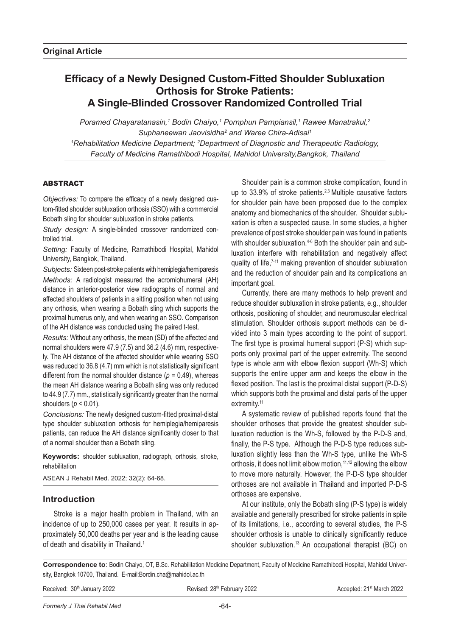# **Efficacy of a Newly Designed Custom-Fitted Shoulder Subluxation Orthosis for Stroke Patients: A Single-Blinded Crossover Randomized Controlled Trial**

*Poramed Chayaratanasin,1 Bodin Chaiyo,1 Pornphun Parnpiansil,1 Rawee Manatrakul,2 Suphaneewan Jaovisidha2 and Waree Chira-Adisai1 1 Rehabilitation Medicine Department; 2 Department of Diagnostic and Therapeutic Radiology, Faculty of Medicine Ramathibodi Hospital, Mahidol University,Bangkok, Thailand*

# **ABSTRACT**

*Objectives:* To compare the efficacy of a newly designed custom-fitted shoulder subluxation orthosis (SSO) with a commercial Bobath sling for shoulder subluxation in stroke patients.

*Study design:* A single-blinded crossover randomized controlled trial.

*Setting:* Faculty of Medicine, Ramathibodi Hospital, Mahidol University, Bangkok, Thailand.

*Subjects:* Sixteen post-stroke patients with hemiplegia/hemiparesis *Methods:* A radiologist measured the acromiohumeral (AH) distance in anterior-posterior view radiographs of normal and affected shoulders of patients in a sitting position when not using any orthosis, when wearing a Bobath sling which supports the proximal humerus only, and when wearing an SSO. Comparison of the AH distance was conducted using the paired t-test.

*Results:* Without any orthosis, the mean (SD) of the affected and normal shoulders were 47.9 (7.5) and 36.2 (4.6) mm, respectively. The AH distance of the affected shoulder while wearing SSO was reduced to 36.8 (4.7) mm which is not statistically significant different from the normal shoulder distance  $(p = 0.49)$ , whereas the mean AH distance wearing a Bobath sling was only reduced to 44.9 (7.7) mm., statistically significantly greater than the normal shoulders (*p* < 0.01).

*Conclusions:* The newly designed custom-fitted proximal-distal type shoulder subluxation orthosis for hemiplegia/hemiparesis patients, can reduce the AH distance significantly closer to that of a normal shoulder than a Bobath sling.

**Keywords:** shoulder subluxation, radiograph, orthosis, stroke, rehabilitation

ASEAN J Rehabil Med. 2022; 32(2): 64-68.

# **Introduction**

Stroke is a major health problem in Thailand, with an incidence of up to 250,000 cases per year. It results in approximately 50,000 deaths per year and is the leading cause of death and disability in Thailand.<sup>1</sup>

Shoulder pain is a common stroke complication, found in up to 33.9% of stroke patients.<sup>2,3</sup> Multiple causative factors for shoulder pain have been proposed due to the complex anatomy and biomechanics of the shoulder. Shoulder subluxation is often a suspected cause. In some studies, a higher prevalence of post stroke shoulder pain was found in patients with shoulder subluxation.<sup>4-6</sup> Both the shoulder pain and subluxation interfere with rehabilitation and negatively affect quality of life,<sup>7-11</sup> making prevention of shoulder subluxation and the reduction of shoulder pain and its complications an important goal.

Currently, there are many methods to help prevent and reduce shoulder subluxation in stroke patients, e.g., shoulder orthosis, positioning of shoulder, and neuromuscular electrical stimulation. Shoulder orthosis support methods can be divided into 3 main types according to the point of support. The first type is proximal humeral support (P-S) which supports only proximal part of the upper extremity. The second type is whole arm with elbow flexion support (Wh-S) which supports the entire upper arm and keeps the elbow in the flexed position. The last is the proximal distal support (P-D-S) which supports both the proximal and distal parts of the upper extremity.<sup>11</sup>

A systematic review of published reports found that the shoulder orthoses that provide the greatest shoulder subluxation reduction is the Wh-S, followed by the P-D-S and, finally, the P-S type. Although the P-D-S type reduces subluxation slightly less than the Wh-S type, unlike the Wh-S orthosis, it does not limit elbow motion,<sup>11,12</sup> allowing the elbow to move more naturally. However, the P-D-S type shoulder orthoses are not available in Thailand and imported P-D-S orthoses are expensive.

At our institute, only the Bobath sling (P-S type) is widely available and generally prescribed for stroke patients in spite of its limitations, i.e., according to several studies, the P-S shoulder orthosis is unable to clinically significantly reduce shoulder subluxation.<sup>13</sup> An occupational therapist (BC) on

**Correspondence to**: Bodin Chaiyo, OT, B.Sc. Rehabilitation Medicine Department, Faculty of Medicine Ramathibodi Hospital, Mahidol University, Bangkok 10700, Thailand. E-mail:Bordin.cha@mahidol.ac.th

Received: 30<sup>th</sup> January 2022 **Revised: 28th February 2022** Accepted: 21<sup>st</sup> March 2022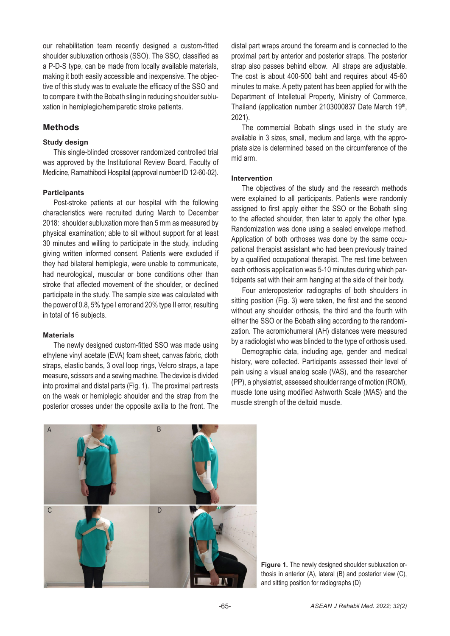our rehabilitation team recently designed a custom-fitted shoulder subluxation orthosis (SSO). The SSO, classified as a P-D-S type, can be made from locally available materials, making it both easily accessible and inexpensive. The objective of this study was to evaluate the efficacy of the SSO and to compare it with the Bobath sling in reducing shoulder subluxation in hemiplegic/hemiparetic stroke patients.

# **Methods**

## **Study design**

This single-blinded crossover randomized controlled trial was approved by the Institutional Review Board, Faculty of Medicine, Ramathibodi Hospital (approval number ID 12-60-02).

## **Participants**

Post-stroke patients at our hospital with the following characteristics were recruited during March to December 2018: shoulder subluxation more than 5 mm as measured by physical examination; able to sit without support for at least 30 minutes and willing to participate in the study, including giving written informed consent. Patients were excluded if they had bilateral hemiplegia, were unable to communicate, had neurological, muscular or bone conditions other than stroke that affected movement of the shoulder, or declined participate in the study. The sample size was calculated with the power of 0.8, 5% type I error and 20% type II error, resulting in total of 16 subjects.

#### **Materials**

The newly designed custom-fitted SSO was made using ethylene vinyl acetate (EVA) foam sheet, canvas fabric, cloth straps, elastic bands, 3 oval loop rings, Velcro straps, a tape measure, scissors and a sewing machine. The device is divided into proximal and distal parts (Fig. 1). The proximal part rests on the weak or hemiplegic shoulder and the strap from the posterior crosses under the opposite axilla to the front. The distal part wraps around the forearm and is connected to the proximal part by anterior and posterior straps. The posterior strap also passes behind elbow. All straps are adjustable. The cost is about 400-500 baht and requires about 45-60 minutes to make. A petty patent has been applied for with the Department of Intelletual Property, Ministry of Commerce, Thailand (application number 2103000837 Date March 19th, 2021).

The commercial Bobath slings used in the study are available in 3 sizes, small, medium and large, with the appropriate size is determined based on the circumference of the mid arm.

#### **Intervention**

The objectives of the study and the research methods were explained to all participants. Patients were randomly assigned to first apply either the SSO or the Bobath sling to the affected shoulder, then later to apply the other type. Randomization was done using a sealed envelope method. Application of both orthoses was done by the same occupational therapist assistant who had been previously trained by a qualified occupational therapist. The rest time between each orthosis application was 5-10 minutes during which participants sat with their arm hanging at the side of their body.

Four anteroposterior radiographs of both shoulders in sitting position (Fig. 3) were taken, the first and the second without any shoulder orthosis, the third and the fourth with either the SSO or the Bobath sling according to the randomization. The acromiohumeral (AH) distances were measured by a radiologist who was blinded to the type of orthosis used.

Demographic data, including age, gender and medical history, were collected. Participants assessed their level of pain using a visual analog scale (VAS), and the researcher (PP), a physiatrist, assessed shoulder range of motion (ROM), muscle tone using modified Ashworth Scale (MAS) and the muscle strength of the deltoid muscle.



Figure 1. The newly designed shoulder subluxation orthosis in anterior (A), lateral (B) and posterior view (C), and sitting position for radiographs (D)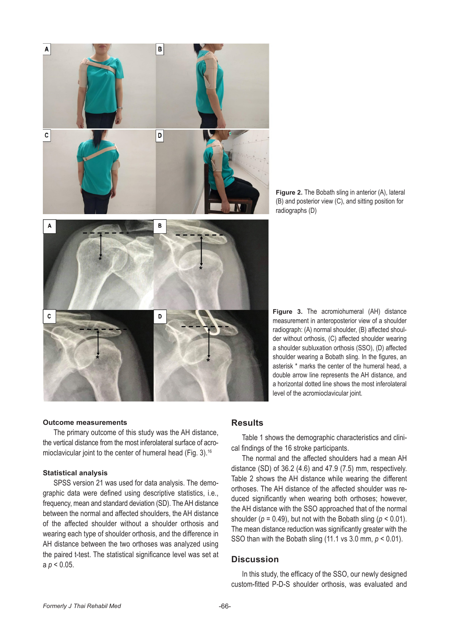

**Figure 2.** The Bobath sling in anterior (A), lateral (B) and posterior view (C), and sitting position for radiographs (D)

**Figure 3.** The acromiohumeral (AH) distance measurement in anteroposterior view of a shoulder radiograph: (A) normal shoulder, (B) affected shoulder without orthosis, (C) affected shoulder wearing a shoulder subluxation orthosis (SSO), (D) affected shoulder wearing a Bobath sling. In the figures, an asterisk \* marks the center of the humeral head, a double arrow line represents the AH distance, and a horizontal dotted line shows the most inferolateral level of the acromioclavicular joint.

#### **Outcome measurements**

The primary outcome of this study was the AH distance, the vertical distance from the most inferolateral surface of acromioclavicular joint to the center of humeral head (Fig. 3).16

## **Statistical analysis**

SPSS version 21 was used for data analysis. The demographic data were defined using descriptive statistics, i.e., frequency, mean and standard deviation (SD). The AH distance between the normal and affected shoulders, the AH distance of the affected shoulder without a shoulder orthosis and wearing each type of shoulder orthosis, and the difference in AH distance between the two orthoses was analyzed using the paired t-test. The statistical significance level was set at a *p* < 0.05.

# **Results**

Table 1 shows the demographic characteristics and clinical findings of the 16 stroke participants.

The normal and the affected shoulders had a mean AH distance (SD) of 36.2 (4.6) and 47.9 (7.5) mm, respectively. Table 2 shows the AH distance while wearing the different orthoses. The AH distance of the affected shoulder was reduced significantly when wearing both orthoses; however, the AH distance with the SSO approached that of the normal shoulder ( $p = 0.49$ ), but not with the Bobath sling ( $p < 0.01$ ). The mean distance reduction was significantly greater with the SSO than with the Bobath sling (11.1 vs 3.0 mm, *p* < 0.01).

# **Discussion**

In this study, the efficacy of the SSO, our newly designed custom-fitted P-D-S shoulder orthosis, was evaluated and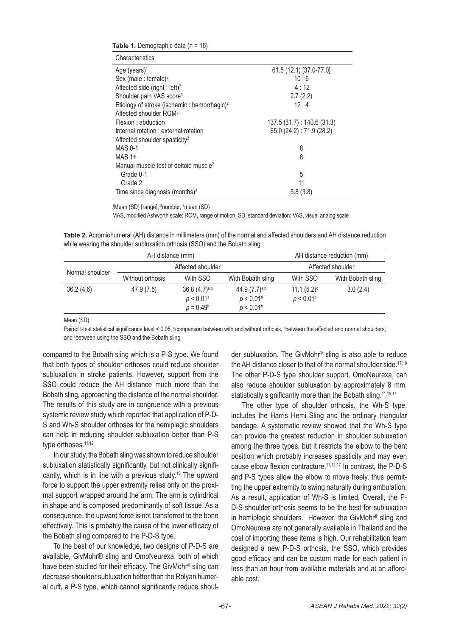| Table 1. Demographic data $(n = 16)$                                                           |                          |  |  |  |  |
|------------------------------------------------------------------------------------------------|--------------------------|--|--|--|--|
| Characteristics                                                                                |                          |  |  |  |  |
| Age (years) <sup>1</sup>                                                                       | 61.5 (12.1) [37.0-77.0]  |  |  |  |  |
| Sex (male: female) <sup>2</sup>                                                                | 10:6                     |  |  |  |  |
| Affected side (right : left) <sup>2</sup>                                                      | 4:12                     |  |  |  |  |
| Shoulder pain VAS score <sup>3</sup>                                                           | 2.7(2.2)                 |  |  |  |  |
| Etiology of stroke (ischemic : hemorrhagic) <sup>2</sup><br>Affected shoulder ROM <sup>3</sup> | 12:4                     |  |  |  |  |
| Flexion : abduction                                                                            | 137.5(31.7): 140.6(31.3) |  |  |  |  |
| Internal rotation : external rotation<br>Affected shoulder spasticity <sup>2</sup>             | 65.0 (24.2): 71.9 (28.2) |  |  |  |  |
| $MAS 0-1$                                                                                      | 8                        |  |  |  |  |
| $MAS 1+$                                                                                       | 8                        |  |  |  |  |
| Manual muscle test of deltoid muscle <sup>2</sup>                                              |                          |  |  |  |  |
| Grade 0-1                                                                                      | 5                        |  |  |  |  |
| Grade 2                                                                                        | 11                       |  |  |  |  |
| Time since diagnosis (months) $3$                                                              | 5.8(3.8)                 |  |  |  |  |

<sup>1</sup>Mean (SD) [range], <sup>2</sup>number, <sup>3</sup>mean (SD)

MAS, modified Ashworth scale; ROM, range of motion; SD, standard deviation; VAS, visual analog scale

**Table 2.** Acromiohumeral (AH) distance in millimeters (mm) of the normal and affected shoulders and AH distance reduction while wearing the shoulder subluxation orthosis (SSO) and the Bobath sling

| AH distance (mm) |                   |                                                              | AH distance reduction (mm)                                            |                                |                   |
|------------------|-------------------|--------------------------------------------------------------|-----------------------------------------------------------------------|--------------------------------|-------------------|
| Normal shoulder  | Affected shoulder |                                                              | Affected shoulder                                                     |                                |                   |
|                  | Without orthosis  | With SSO                                                     | With Bobath sling                                                     | With SSO                       | With Bobath sling |
| 36.2(4.6)        | 47.9 (7.5)        | $36.8(4.7)^{a,b}$<br>$p < 0.01$ <sup>a</sup><br>$p = 0.49^b$ | $44.9(7.7)^{a,b}$<br>$p < 0.01$ <sup>a</sup><br>p < 0.01 <sup>b</sup> | $11.1 (5.2)^c$<br>$p < 0.01$ ° | 3.0(2.4)          |

Mean (SD)

Paired t-test statistical significance level < 0.05, <sup>a</sup>comparison between with and without orthosis, between the affected and normal shoulders, and <sup>c</sup>between using the SSO and the Bobath sling

compared to the Bobath sling which is a P-S type. We found that both types of shoulder orthoses could reduce shoulder subluxation in stroke patients. However, support from the SSO could reduce the AH distance much more than the Bobath sling, approaching the distance of the normal shoulder. The results of this study are in congruence with a previous systemic review study which reported that application of P-D-S and Wh-S shoulder orthoses for the hemiplegic shoulders can help in reducing shoulder subluxation better than P-S type orthoses.<sup>11,12</sup>

In our study, the Bobath sling was shown to reduce shoulder subluxation statistically significantly, but not clinically significantly, which is in line with a previous study.<sup>13</sup> The upward force to support the upper extremity relies only on the proximal support wrapped around the arm. The arm is cylindrical in shape and is composed predominantly of soft tissue. As a consequence, the upward force is not transferred to the bone effectively. This is probably the cause of the lower efficacy of the Bobath sling compared to the P-D-S type.

To the best of our knowledge, two designs of P-D-S are available, GivMohr® sling and OmoNeurexa, both of which have been studied for their efficacy. The GivMohr® sling can decrease shoulder subluxation better than the Rolyan humeral cuff, a P-S type, which cannot significantly reduce shoulder subluxation. The GivMohr® sling is also able to reduce the AH distance closer to that of the normal shoulder side.<sup>17,18</sup> The other P-D-S type shoulder support, OmoNeurexa, can also reduce shoulder subluxation by approximately 8 mm, statistically significantly more than the Bobath sling.<sup>11,15,17</sup>

The other type of shoulder orthosis, the Wh-S type, includes the Harris Hemi Sling and the ordinary triangular bandage. A systematic review showed that the Wh-S type can provide the greatest reduction in shoulder subluxation among the three types, but it restricts the elbow to the bent position which probably increases spasticity and may even cause elbow flexion contracture.<sup>11,12,17</sup> In contrast, the P-D-S and P-S types allow the elbow to move freely, thus permitting the upper extremity to swing naturally during ambulation. As a result, application of Wh-S is limited. Overall, the P-D-S shoulder orthosis seems to be the best for subluxation in hemiplegic shoulders. However, the GivMohr® sling and OmoNeurexa are not generally available in Thailand and the cost of importing these items is high. Our rehabilitation team designed a new P-D-S orthosis, the SSO, which provides good efficacy and can be custom made for each patient in less than an hour from available materials and at an affordable cost.